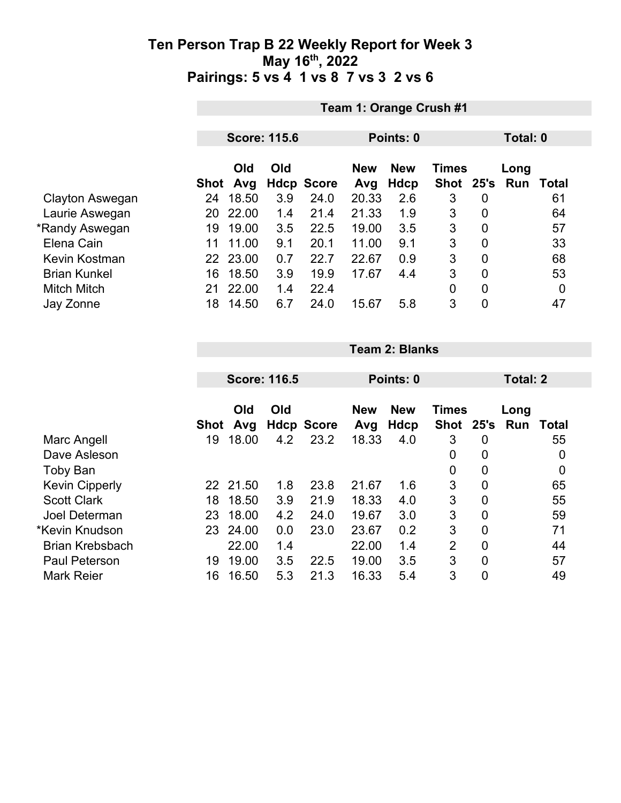|                     | Team 1: Orange Crush #1 |            |     |                   |                                          |      |           |                |          |       |  |
|---------------------|-------------------------|------------|-----|-------------------|------------------------------------------|------|-----------|----------------|----------|-------|--|
|                     |                         |            |     |                   |                                          |      |           |                |          |       |  |
|                     | <b>Score: 115.6</b>     |            |     |                   | Points: 0                                |      |           |                | Total: 0 |       |  |
|                     |                         | Old<br>Old |     |                   | <b>New</b><br><b>Times</b><br><b>New</b> |      |           | Long           |          |       |  |
|                     | Shot                    | Avg        |     | <b>Hdcp Score</b> | Avg                                      | Hdcp | Shot 25's |                | Run      | Total |  |
| Clayton Aswegan     | 24                      | 18.50      | 3.9 | 24.0              | 20.33                                    | 2.6  | 3         | 0              |          | 61    |  |
| Laurie Aswegan      | 20                      | 22.00      | 1.4 | 21.4              | 21.33                                    | 1.9  | 3         | $\overline{0}$ |          | 64    |  |
| *Randy Aswegan      | 19                      | 19.00      | 3.5 | 22.5              | 19.00                                    | 3.5  | 3         | 0              |          | 57    |  |
| Elena Cain          | 11                      | 11.00      | 9.1 | 20.1              | 11.00                                    | 9.1  | 3         | $\mathbf 0$    |          | 33    |  |
| Kevin Kostman       | 22                      | 23.00      | 0.7 | 22.7              | 22.67                                    | 0.9  | 3         | $\overline{0}$ |          | 68    |  |
| <b>Brian Kunkel</b> | 16                      | 18.50      | 3.9 | 19.9              | 17.67                                    | 4.4  | 3         | $\overline{0}$ |          | 53    |  |
| <b>Mitch Mitch</b>  | 21                      | 22.00      | 1.4 | 22.4              |                                          |      | 0         | $\overline{0}$ |          | 0     |  |
| Jay Zonne           | 18                      | 14.50      | 6.7 | 24.0              | 15.67                                    | 5.8  | 3         | $\mathbf 0$    |          | 47    |  |

|                        |             | <b>Score: 116.5</b> |     |                   |                   |                    |                             | Total: 2       |             |       |
|------------------------|-------------|---------------------|-----|-------------------|-------------------|--------------------|-----------------------------|----------------|-------------|-------|
|                        |             |                     |     |                   |                   | Points: 0          |                             |                |             |       |
|                        | <b>Shot</b> | Old<br>Avg          | Old | <b>Hdcp Score</b> | <b>New</b><br>Avg | <b>New</b><br>Hdcp | <b>Times</b><br><b>Shot</b> | 25's           | Long<br>Run | Total |
| Marc Angell            | 19          | 18.00               | 4.2 | 23.2              | 18.33             | 4.0                | 3                           | 0              |             | 55    |
| Dave Asleson           |             |                     |     |                   |                   |                    | 0                           | 0              |             | 0     |
| <b>Toby Ban</b>        |             |                     |     |                   |                   |                    | 0                           | 0              |             | 0     |
| <b>Kevin Cipperly</b>  | 22          | 21.50               | 1.8 | 23.8              | 21.67             | 1.6                | 3                           | $\mathbf 0$    |             | 65    |
| <b>Scott Clark</b>     | 18          | 18.50               | 3.9 | 21.9              | 18.33             | 4.0                | 3                           | $\overline{0}$ |             | 55    |
| Joel Determan          | 23          | 18.00               | 4.2 | 24.0              | 19.67             | 3.0                | 3                           | $\mathbf 0$    |             | 59    |
| *Kevin Knudson         | 23          | 24.00               | 0.0 | 23.0              | 23.67             | 0.2                | 3                           | $\mathbf 0$    |             | 71    |
| <b>Brian Krebsbach</b> |             | 22.00               | 1.4 |                   | 22.00             | 1.4                | $\overline{2}$              | $\overline{0}$ |             | 44    |
| <b>Paul Peterson</b>   | 19          | 19.00               | 3.5 | 22.5              | 19.00             | 3.5                | 3                           | $\overline{0}$ |             | 57    |
| <b>Mark Reier</b>      | 16          | 16.50               | 5.3 | 21.3              | 16.33             | 5.4                | 3                           | $\mathbf 0$    |             | 49    |

**Team 2: Blanks**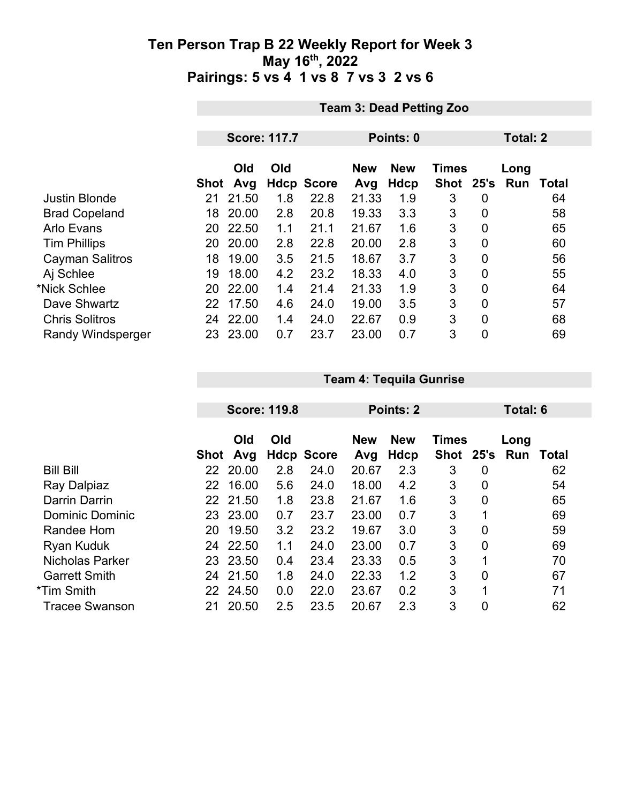|                          |      | <b>Team 3: Dead Petting Zoo</b> |     |                   |                   |                    |                           |                |                    |                 |  |  |
|--------------------------|------|---------------------------------|-----|-------------------|-------------------|--------------------|---------------------------|----------------|--------------------|-----------------|--|--|
|                          |      |                                 |     |                   |                   |                    |                           |                |                    |                 |  |  |
|                          |      | <b>Score: 117.7</b>             |     |                   |                   | Points: 0          |                           |                |                    | <b>Total: 2</b> |  |  |
|                          | Shot | Old<br>Avg                      | Old | <b>Hdcp Score</b> | <b>New</b><br>Avg | <b>New</b><br>Hdcp | <b>Times</b><br>Shot 25's |                | Long<br><b>Run</b> | <b>Total</b>    |  |  |
| <b>Justin Blonde</b>     | 21   | 21.50                           | 1.8 | 22.8              | 21.33             | 1.9                | 3                         | 0              |                    | 64              |  |  |
| <b>Brad Copeland</b>     | 18   | 20.00                           | 2.8 | 20.8              | 19.33             | 3.3                | 3                         | $\mathbf 0$    |                    | 58              |  |  |
| <b>Arlo Evans</b>        | 20   | 22.50                           | 1.1 | 21.1              | 21.67             | 1.6                | 3                         | 0              |                    | 65              |  |  |
| <b>Tim Phillips</b>      | 20   | 20.00                           | 2.8 | 22.8              | 20.00             | 2.8                | 3                         | 0              |                    | 60              |  |  |
| <b>Cayman Salitros</b>   | 18   | 19.00                           | 3.5 | 21.5              | 18.67             | 3.7                | 3                         | $\overline{0}$ |                    | 56              |  |  |
| Aj Schlee                | 19   | 18.00                           | 4.2 | 23.2              | 18.33             | 4.0                | 3                         | 0              |                    | 55              |  |  |
| *Nick Schlee             | 20   | 22.00                           | 1.4 | 21.4              | 21.33             | 1.9                | 3                         | 0              |                    | 64              |  |  |
| Dave Shwartz             | 22   | 17.50                           | 4.6 | 24.0              | 19.00             | 3.5                | 3                         | $\overline{0}$ |                    | 57              |  |  |
| <b>Chris Solitros</b>    | 24   | 22.00                           | 1.4 | 24.0              | 22.67             | 0.9                | 3                         | $\mathbf 0$    |                    | 68              |  |  |
| <b>Randy Windsperger</b> |      | 23 23.00                        | 0.7 | 23.7              | 23.00             | 0.7                | 3                         | 0              |                    | 69              |  |  |

|                        |      |            | <b>Score: 119.8</b> |                   |                   | Points: 2          |                      |                | Total: 6    |       |
|------------------------|------|------------|---------------------|-------------------|-------------------|--------------------|----------------------|----------------|-------------|-------|
|                        | Shot | Old<br>Avg | Old                 | <b>Hdcp Score</b> | <b>New</b><br>Avg | <b>New</b><br>Hdcp | Times<br><b>Shot</b> | 25's           | Long<br>Run | Total |
| <b>Bill Bill</b>       | 22   | 20.00      | 2.8                 | 24.0              | 20.67             | 2.3                | 3                    | 0              |             | 62    |
| Ray Dalpiaz            | 22   | 16.00      | 5.6                 | 24.0              | 18.00             | 4.2                | 3                    | 0              |             | 54    |
| Darrin Darrin          |      | 22 21.50   | 1.8                 | 23.8              | 21.67             | 1.6                | 3                    | $\mathbf 0$    |             | 65    |
| <b>Dominic Dominic</b> | 23   | 23.00      | 0.7                 | 23.7              | 23.00             | 0.7                | 3                    | 1              |             | 69    |
| Randee Hom             | 20   | 19.50      | 3.2                 | 23.2              | 19.67             | 3.0                | 3                    | $\overline{0}$ |             | 59    |
| <b>Ryan Kuduk</b>      | 24   | 22.50      | 1.1                 | 24.0              | 23.00             | 0.7                | 3                    | 0              |             | 69    |
| <b>Nicholas Parker</b> | 23   | 23.50      | 0.4                 | 23.4              | 23.33             | 0.5                | 3                    | 1              |             | 70    |
| <b>Garrett Smith</b>   | 24   | 21.50      | 1.8                 | 24.0              | 22.33             | 1.2                | 3                    | $\overline{0}$ |             | 67    |
| *Tim Smith             |      | 22 24.50   | 0.0                 | 22.0              | 23.67             | 0.2                | 3                    | 1              |             | 71    |
| <b>Tracee Swanson</b>  | 21   | 20.50      | 2.5                 | 23.5              | 20.67             | 2.3                | 3                    | 0              |             | 62    |

**Team 4: Tequila Gunrise**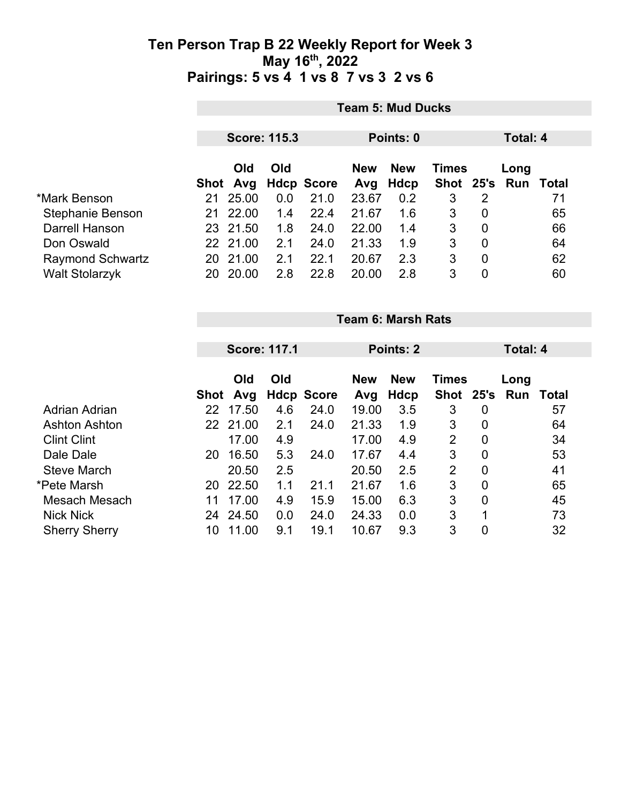|                         | <b>Team 5: Mud Ducks</b> |            |                     |                   |            |            |       |                |                     |    |  |
|-------------------------|--------------------------|------------|---------------------|-------------------|------------|------------|-------|----------------|---------------------|----|--|
|                         |                          |            | <b>Score: 115.3</b> |                   |            | Points: 0  |       | Total: 4       |                     |    |  |
|                         |                          | <b>Old</b> | Old                 |                   | <b>New</b> | <b>New</b> | Times |                | Long                |    |  |
|                         | Shot                     | Avg        |                     | <b>Hdcp Score</b> | Avg        | Hdcp       |       |                | Shot 25's Run Total |    |  |
| *Mark Benson            | 21                       | 25.00      | 0.0                 | 21.0              | 23.67      | 0.2        | 3     | 2              |                     | 71 |  |
| Stephanie Benson        | 21                       | 22.00      | 1.4                 | 22.4              | 21.67      | 1.6        | 3     | 0              |                     | 65 |  |
| Darrell Hanson          |                          | 23 21.50   | 1.8                 | 24.0              | 22.00      | 1.4        | 3     | $\overline{0}$ |                     | 66 |  |
| Don Oswald              |                          | 22 21.00   | 2.1                 | 24.0              | 21.33      | 1.9        | 3     | $\overline{0}$ |                     | 64 |  |
| <b>Raymond Schwartz</b> | 20                       | 21.00      | 2.1                 | 22.1              | 20.67      | 2.3        | 3     | 0              |                     | 62 |  |
| <b>Walt Stolarzyk</b>   | 20                       | 20.00      | 2.8                 | 22.8              | 20.00      | 2.8        | 3     | 0              |                     | 60 |  |

|                      |      | <b>Team 6: Marsh Rats</b> |                     |                   |                                          |             |                |                |          |       |  |  |
|----------------------|------|---------------------------|---------------------|-------------------|------------------------------------------|-------------|----------------|----------------|----------|-------|--|--|
|                      |      |                           |                     |                   |                                          |             |                |                |          |       |  |  |
|                      |      |                           | <b>Score: 117.1</b> |                   | <b>Points: 2</b>                         |             |                |                | Total: 4 |       |  |  |
|                      |      | Old<br>Old                |                     |                   | <b>New</b><br><b>Times</b><br><b>New</b> |             |                | Long           |          |       |  |  |
|                      | Shot | Avg                       |                     | <b>Hdcp Score</b> | Avg                                      | <b>Hdcp</b> | Shot 25's      |                | Run      | Total |  |  |
| <b>Adrian Adrian</b> | 22   | 17.50                     | 4.6                 | 24.0              | 19.00                                    | 3.5         | 3              | $\mathbf 0$    |          | 57    |  |  |
| <b>Ashton Ashton</b> |      | 22 21.00                  | 2.1                 | 24.0              | 21.33                                    | 1.9         | 3              | $\mathbf 0$    |          | 64    |  |  |
| <b>Clint Clint</b>   |      | 17.00                     | 4.9                 |                   | 17.00                                    | 4.9         | $\overline{2}$ | $\mathbf 0$    |          | 34    |  |  |
| Dale Dale            | 20   | 16.50                     | 5.3                 | 24.0              | 17.67                                    | 4.4         | 3              | $\mathbf 0$    |          | 53    |  |  |
| <b>Steve March</b>   |      | 20.50                     | 2.5                 |                   | 20.50                                    | 2.5         | $\overline{2}$ | $\overline{0}$ |          | 41    |  |  |
| *Pete Marsh          | 20   | 22.50                     | 1.1                 | 21.1              | 21.67                                    | 1.6         | 3              | $\mathbf 0$    |          | 65    |  |  |
| Mesach Mesach        | 11   | 17.00                     | 4.9                 | 15.9              | 15.00                                    | 6.3         | 3              | $\overline{0}$ |          | 45    |  |  |
| <b>Nick Nick</b>     | 24   | 24.50                     | 0.0                 | 24.0              | 24.33                                    | 0.0         | 3              | 1              |          | 73    |  |  |
| <b>Sherry Sherry</b> | 10   | 11.00                     | 9.1                 | 19.1              | 10.67                                    | 9.3         | 3              | 0              |          | 32    |  |  |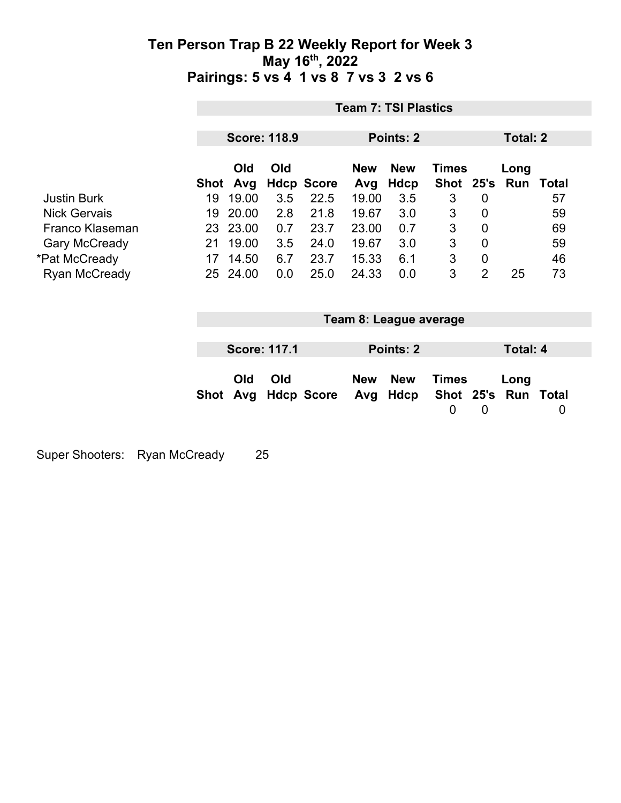| <b>Team 7: TSI Plastics</b> |                   |                                                               |                     |                                                               |                    |                                       |                                            |                              |                                                    |  |
|-----------------------------|-------------------|---------------------------------------------------------------|---------------------|---------------------------------------------------------------|--------------------|---------------------------------------|--------------------------------------------|------------------------------|----------------------------------------------------|--|
|                             |                   |                                                               |                     |                                                               |                    |                                       |                                            | Total: 2                     |                                                    |  |
|                             | Old               | Old                                                           |                     | <b>New</b>                                                    | <b>New</b>         |                                       |                                            | Long                         | Total                                              |  |
| 19                          | 19.00             | 3.5                                                           | 22.5                |                                                               | 3.5                |                                       | 0                                          |                              | 57                                                 |  |
| 19                          |                   | 2.8                                                           | 21.8                | 19.67                                                         | 3.0                | 3                                     | 0                                          |                              | 59                                                 |  |
|                             |                   | 0.7                                                           | 23.7                | 23.00                                                         | 0.7                | 3                                     | $\overline{0}$                             |                              | 69                                                 |  |
| 21                          | 19.00             | 3.5                                                           | 24.0                | 19.67                                                         | 3.0                | 3                                     | $\overline{0}$                             |                              | 59                                                 |  |
| 17                          |                   | 6.7                                                           | 23.7                | 15.33                                                         | 6.1                | $\sqrt{3}$                            | 0                                          |                              | 46                                                 |  |
|                             |                   | 0.0                                                           | 25.0                | 24.33                                                         | 0.0                | 3                                     | $\overline{2}$                             | 25                           | 73                                                 |  |
|                             |                   |                                                               |                     |                                                               |                    |                                       |                                            |                              |                                                    |  |
|                             |                   |                                                               |                     |                                                               |                    |                                       |                                            |                              |                                                    |  |
|                             | <b>Old</b><br>Avg | Old                                                           |                     | <b>New</b><br>Avg                                             | <b>New</b><br>Hdcp | $\overline{0}$                        | $\mathbf 0$                                | Long                         | $\overline{0}$                                     |  |
|                             |                   | Avg<br>Shot<br>20.00<br>23 23.00<br>14.50<br>25 24.00<br>Shot | <b>Score: 117.1</b> | <b>Score: 118.9</b><br><b>Hdcp Score</b><br><b>Hdcp Score</b> | Avg<br>19.00       | Points: 2<br><b>Hdcp</b><br>Points: 2 | <b>Shot</b><br>3<br>Team 8: League average | <b>Times</b><br><b>Times</b> | 25's Run<br><b>Total: 4</b><br>Shot 25's Run Total |  |

Super Shooters: Ryan McCready 25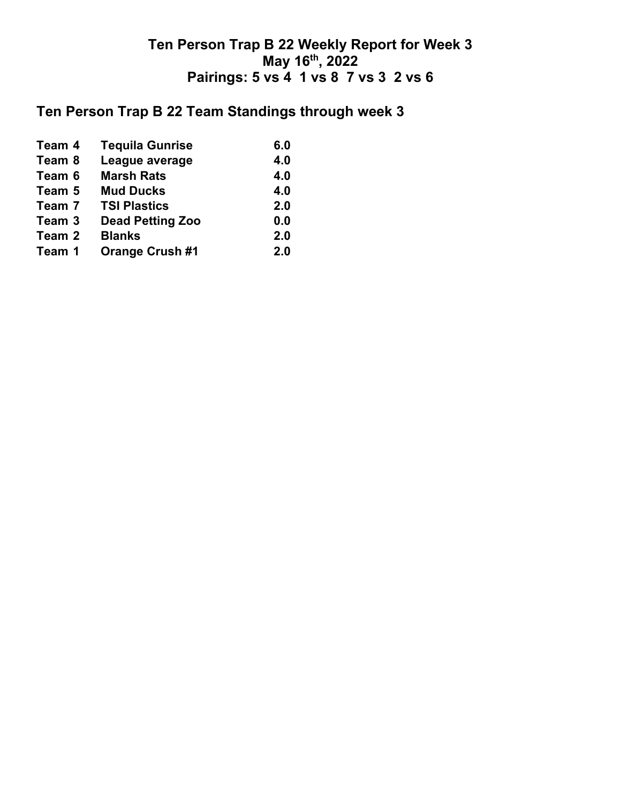# **Ten Person Trap B 22 Team Standings through week 3**

| <b>Tequila Gunrise</b>                                                       | 6.0 |
|------------------------------------------------------------------------------|-----|
| League average                                                               | 4.0 |
| <b>Marsh Rats</b>                                                            | 4.0 |
| <b>Mud Ducks</b>                                                             | 4.0 |
| <b>TSI Plastics</b>                                                          | 2.0 |
| <b>Dead Petting Zoo</b>                                                      | 0.0 |
| <b>Blanks</b>                                                                | 2.0 |
| <b>Orange Crush #1</b>                                                       | 2.0 |
| Team 4<br>Team 8<br>Team 6<br>Team 5<br>Team 7<br>Team 3<br>Team 2<br>Team 1 |     |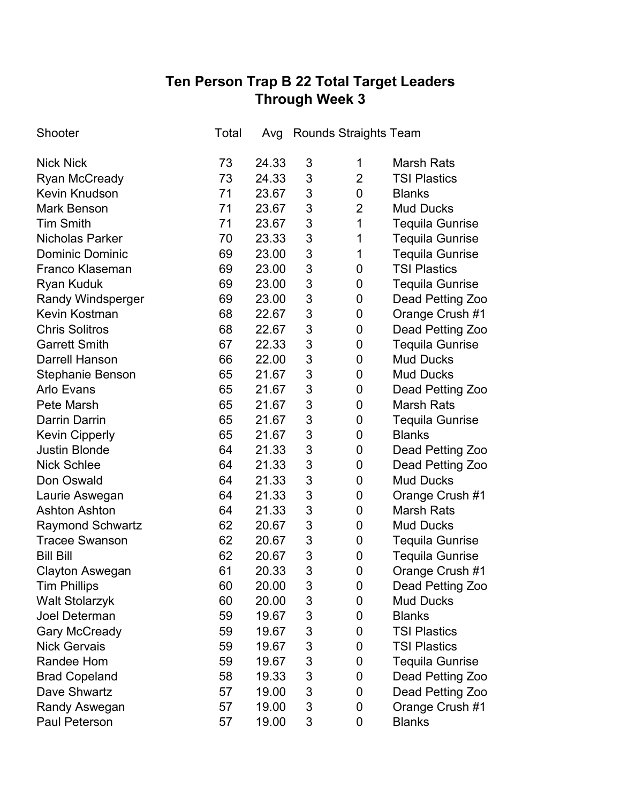## **Ten Person Trap B 22 Total Target Leaders Through Week 3**

| Shooter                 | Total | Avg   | <b>Rounds Straights Team</b> |                |                        |
|-------------------------|-------|-------|------------------------------|----------------|------------------------|
| <b>Nick Nick</b>        | 73    | 24.33 | 3                            | 1              | <b>Marsh Rats</b>      |
| <b>Ryan McCready</b>    | 73    | 24.33 | 3                            | $\overline{2}$ | <b>TSI Plastics</b>    |
| <b>Kevin Knudson</b>    | 71    | 23.67 | 3                            | 0              | <b>Blanks</b>          |
| <b>Mark Benson</b>      | 71    | 23.67 | 3                            | $\overline{2}$ | <b>Mud Ducks</b>       |
| <b>Tim Smith</b>        | 71    | 23.67 | 3                            | 1              | <b>Tequila Gunrise</b> |
| <b>Nicholas Parker</b>  | 70    | 23.33 | 3                            | 1              | <b>Tequila Gunrise</b> |
| <b>Dominic Dominic</b>  | 69    | 23.00 | 3                            | 1              | <b>Tequila Gunrise</b> |
| <b>Franco Klaseman</b>  | 69    | 23.00 | 3                            | 0              | <b>TSI Plastics</b>    |
| Ryan Kuduk              | 69    | 23.00 | 3                            | 0              | <b>Tequila Gunrise</b> |
| Randy Windsperger       | 69    | 23.00 | 3                            | 0              | Dead Petting Zoo       |
| Kevin Kostman           | 68    | 22.67 | 3                            | 0              | Orange Crush #1        |
| <b>Chris Solitros</b>   | 68    | 22.67 | 3                            | 0              | Dead Petting Zoo       |
| <b>Garrett Smith</b>    | 67    | 22.33 | 3                            | 0              | <b>Tequila Gunrise</b> |
| <b>Darrell Hanson</b>   | 66    | 22.00 | 3                            | 0              | <b>Mud Ducks</b>       |
| <b>Stephanie Benson</b> | 65    | 21.67 | 3                            | 0              | <b>Mud Ducks</b>       |
| <b>Arlo Evans</b>       | 65    | 21.67 | 3                            | 0              | Dead Petting Zoo       |
| Pete Marsh              | 65    | 21.67 | 3                            | 0              | <b>Marsh Rats</b>      |
| <b>Darrin Darrin</b>    | 65    | 21.67 | 3                            | 0              | <b>Tequila Gunrise</b> |
| <b>Kevin Cipperly</b>   | 65    | 21.67 | 3                            | 0              | <b>Blanks</b>          |
| <b>Justin Blonde</b>    | 64    | 21.33 | 3                            | 0              | Dead Petting Zoo       |
| <b>Nick Schlee</b>      | 64    | 21.33 | 3                            | 0              | Dead Petting Zoo       |
| Don Oswald              | 64    | 21.33 | 3                            | 0              | <b>Mud Ducks</b>       |
| Laurie Aswegan          | 64    | 21.33 | 3                            | 0              | Orange Crush #1        |
| <b>Ashton Ashton</b>    | 64    | 21.33 | 3                            | 0              | <b>Marsh Rats</b>      |
| <b>Raymond Schwartz</b> | 62    | 20.67 | 3                            | 0              | <b>Mud Ducks</b>       |
| <b>Tracee Swanson</b>   | 62    | 20.67 | 3                            | 0              | <b>Tequila Gunrise</b> |
| <b>Bill Bill</b>        | 62    | 20.67 | 3                            | 0              | Tequila Gunrise        |
| <b>Clayton Aswegan</b>  | 61    | 20.33 | 3                            | $\overline{0}$ | Orange Crush #1        |
| <b>Tim Phillips</b>     | 60    | 20.00 | 3                            | 0              | Dead Petting Zoo       |
| <b>Walt Stolarzyk</b>   | 60    | 20.00 | 3                            | 0              | <b>Mud Ducks</b>       |
| <b>Joel Determan</b>    | 59    | 19.67 | 3                            | 0              | <b>Blanks</b>          |
| <b>Gary McCready</b>    | 59    | 19.67 | 3                            | 0              | <b>TSI Plastics</b>    |
| <b>Nick Gervais</b>     | 59    | 19.67 | 3                            | 0              | <b>TSI Plastics</b>    |
| <b>Randee Hom</b>       | 59    | 19.67 | 3                            | 0              | <b>Tequila Gunrise</b> |
| <b>Brad Copeland</b>    | 58    | 19.33 | 3                            | 0              | Dead Petting Zoo       |
| Dave Shwartz            | 57    | 19.00 | 3                            | 0              | Dead Petting Zoo       |
| Randy Aswegan           | 57    | 19.00 | 3                            | 0              | Orange Crush #1        |
| Paul Peterson           | 57    | 19.00 | 3                            | 0              | <b>Blanks</b>          |